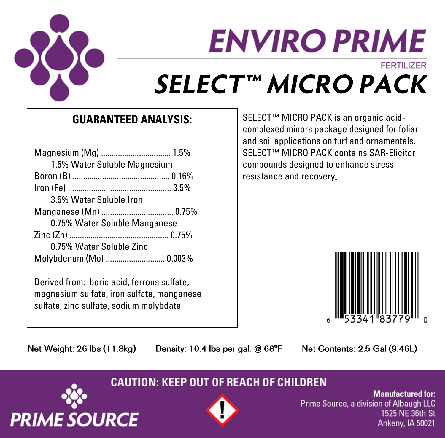

# **ENVIRO PRIME FERTILIZER SELECT™ MICRO PACK**

### **GUARANTEED ANALYSIS:**

| Magnesium (Mg)  1.5%          |  |
|-------------------------------|--|
| 1.5% Water Soluble Magnesium  |  |
|                               |  |
|                               |  |
| 3.5% Water Soluble Iron       |  |
|                               |  |
| 0.75% Water Soluble Manganese |  |
|                               |  |
| 0.75% Water Soluble Zinc      |  |
| Molybdenum (Mo)  0.003%       |  |
|                               |  |

Derived from: boric acid, ferrous sulfate, magnesium sulfate, iron sulfate, manganese sulfate, zinc sulfate, sodium molybdate

SELECT<sup>™</sup> MICRO PACK is an organic acidcomplexed minors package designed for foliar and soil applications on turf and ornamentals. SELECT™ MICRO PACK contains SAR-Elicitor compounds designed to enhance stress resistance and recovery



Net Weight: 26 lbs (11.8kg)

Density: 10.4 lbs per gal. @ 68°F

Net Contents: 2.5 Gal (9.46L)

**CAUTION: KEEP OUT OF REACH OF CHILDREN** 





**Manufactured for:** Prime Source, a division of Albaugh LLC 1525 NE 36th St Ankeny, IA 50021